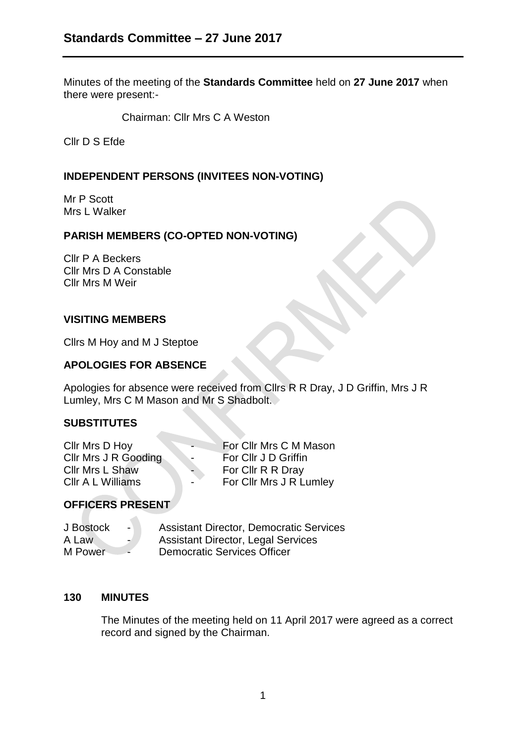Minutes of the meeting of the **Standards Committee** held on **27 June 2017** when there were present:-

Chairman: Cllr Mrs C A Weston

Cllr D S Efde

### **INDEPENDENT PERSONS (INVITEES NON-VOTING)**

Mr P Scott Mrs L Walker

# **PARISH MEMBERS (CO-OPTED NON-VOTING)**

Cllr P A Beckers Cllr Mrs D A Constable Cllr Mrs M Weir

#### **VISITING MEMBERS**

Cllrs M Hoy and M J Steptoe

# **APOLOGIES FOR ABSENCE**

Apologies for absence were received from Cllrs R R Dray, J D Griffin, Mrs J R Lumley, Mrs C M Mason and Mr S Shadbolt.

### **SUBSTITUTES**

| Cllr Mrs D Hoy         | $\overline{\phantom{0}}$ | For Cllr Mrs C M Mason  |
|------------------------|--------------------------|-------------------------|
| Cllr Mrs J R Gooding   | $\overline{\phantom{0}}$ | For Cllr J D Griffin    |
| <b>Cllr Mrs L Shaw</b> | $\blacksquare$           | For Cllr R R Dray       |
| CIIr A L Williams      | $\blacksquare$           | For Cllr Mrs J R Lumley |

### **OFFICERS PRESENT**

 $\mathcal{L}$ 

| J Bostock<br>$\blacksquare$ | <b>Assistant Director, Democratic Services</b> |
|-----------------------------|------------------------------------------------|
| A Law<br>$\blacksquare$     | <b>Assistant Director, Legal Services</b>      |
| M Power                     | <b>Democratic Services Officer</b>             |

### **130 MINUTES**

The Minutes of the meeting held on 11 April 2017 were agreed as a correct record and signed by the Chairman.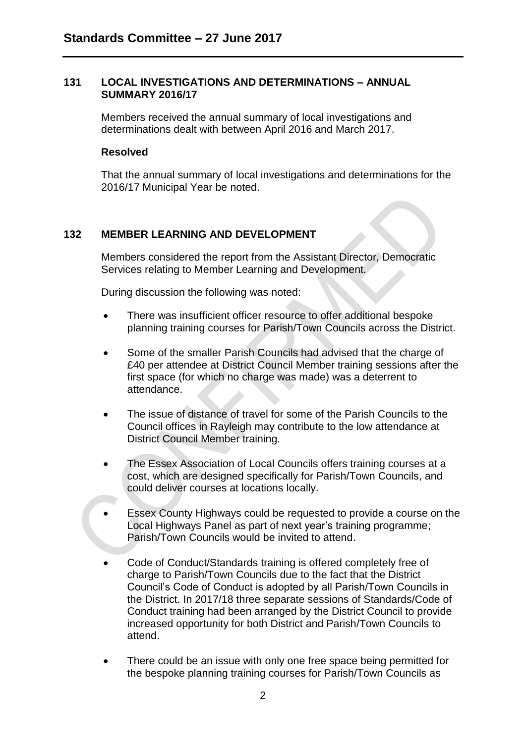#### **131 LOCAL INVESTIGATIONS AND DETERMINATIONS – ANNUAL SUMMARY 2016/17**

Members received the annual summary of local investigations and determinations dealt with between April 2016 and March 2017.

#### **Resolved**

That the annual summary of local investigations and determinations for the 2016/17 Municipal Year be noted.

### **132 MEMBER LEARNING AND DEVELOPMENT**

Members considered the report from the Assistant Director, Democratic Services relating to Member Learning and Development.

During discussion the following was noted:

- There was insufficient officer resource to offer additional bespoke planning training courses for Parish/Town Councils across the District.
- Some of the smaller Parish Councils had advised that the charge of £40 per attendee at District Council Member training sessions after the first space (for which no charge was made) was a deterrent to attendance.
- The issue of distance of travel for some of the Parish Councils to the Council offices in Rayleigh may contribute to the low attendance at District Council Member training.
- The Essex Association of Local Councils offers training courses at a cost, which are designed specifically for Parish/Town Councils, and could deliver courses at locations locally.
- Essex County Highways could be requested to provide a course on the Local Highways Panel as part of next year's training programme; Parish/Town Councils would be invited to attend.
- Code of Conduct/Standards training is offered completely free of charge to Parish/Town Councils due to the fact that the District Council's Code of Conduct is adopted by all Parish/Town Councils in the District. In 2017/18 three separate sessions of Standards/Code of Conduct training had been arranged by the District Council to provide increased opportunity for both District and Parish/Town Councils to attend.
- There could be an issue with only one free space being permitted for the bespoke planning training courses for Parish/Town Councils as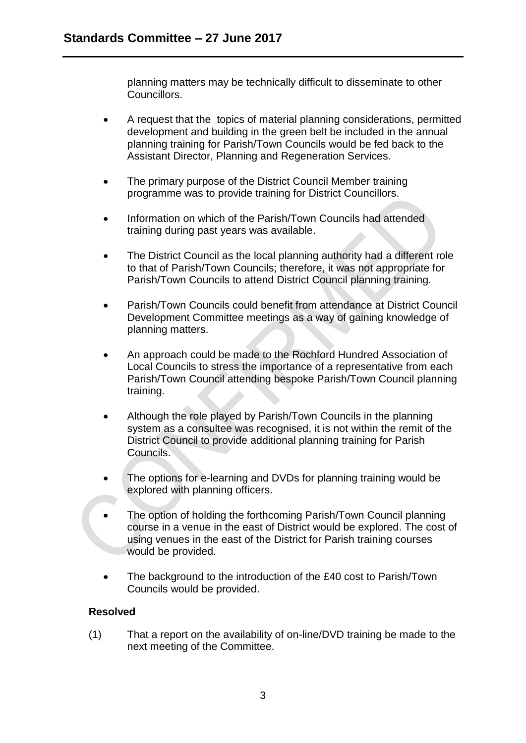planning matters may be technically difficult to disseminate to other **Councillors** 

- A request that the topics of material planning considerations, permitted development and building in the green belt be included in the annual planning training for Parish/Town Councils would be fed back to the Assistant Director, Planning and Regeneration Services.
- The primary purpose of the District Council Member training programme was to provide training for District Councillors.
- Information on which of the Parish/Town Councils had attended training during past years was available.
- The District Council as the local planning authority had a different role to that of Parish/Town Councils; therefore, it was not appropriate for Parish/Town Councils to attend District Council planning training.
- Parish/Town Councils could benefit from attendance at District Council Development Committee meetings as a way of gaining knowledge of planning matters.
- An approach could be made to the Rochford Hundred Association of Local Councils to stress the importance of a representative from each Parish/Town Council attending bespoke Parish/Town Council planning training.
- Although the role played by Parish/Town Councils in the planning system as a consultee was recognised, it is not within the remit of the District Council to provide additional planning training for Parish Councils.
- The options for e-learning and DVDs for planning training would be explored with planning officers.
- The option of holding the forthcoming Parish/Town Council planning course in a venue in the east of District would be explored. The cost of using venues in the east of the District for Parish training courses would be provided.
- The background to the introduction of the £40 cost to Parish/Town Councils would be provided.

# **Resolved**

(1) That a report on the availability of on-line/DVD training be made to the next meeting of the Committee.